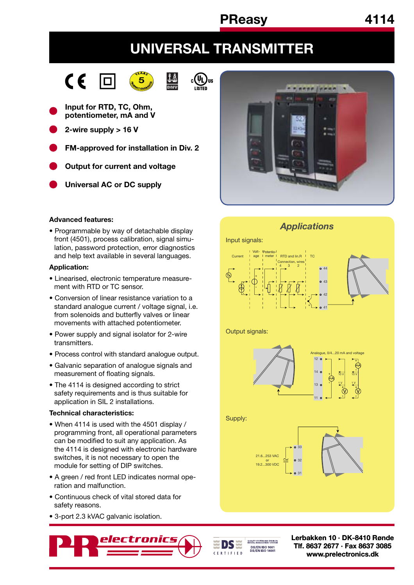# **UNIVERSAL TRANSMITTER**





 $_{c}$ (U)<sub>us</sub>

- **Input for RTD, TC, Ohm, potentiometer, mA and V**
- **2-wire supply > 16 V**
- **FM-approved for installation in Div. 2**



**Universal AC or DC supply**

# **Advanced features:**

• Programmable by way of detachable display front (4501), process calibration, signal simulation, password protection, error diagnostics and help text available in several languages.

## **Application:**

- Linearised, electronic temperature measurement with RTD or TC sensor
- Conversion of linear resistance variation to a standard analogue current / voltage signal, i.e. from solenoids and butterfly valves or linear movements with attached potentiometer.
- Power supply and signal isolator for 2-wire transmitters.
- Process control with standard analogue output.
- Galvanic separation of analogue signals and measurement of floating signals.
- The 4114 is designed according to strict safety requirements and is thus suitable for application in SIL 2 installations.

## **Technical characteristics:**

- When 4114 is used with the 4501 display / programming front, all operational parameters can be modified to suit any application. As the 4114 is designed with electronic hardware switches, it is not necessary to open the module for setting of DIP switches.
- A green / red front LED indicates normal operation and malfunction.
- Continuous check of vital stored data for safety reasons.
- 3-port 2.3 kVAC galvanic isolation.







Supply:





**Lerbakken 10 · DK-8410 Rønde Tlf. 8637 2677 · Fax 8637 3085 www.prelectronics.dk**